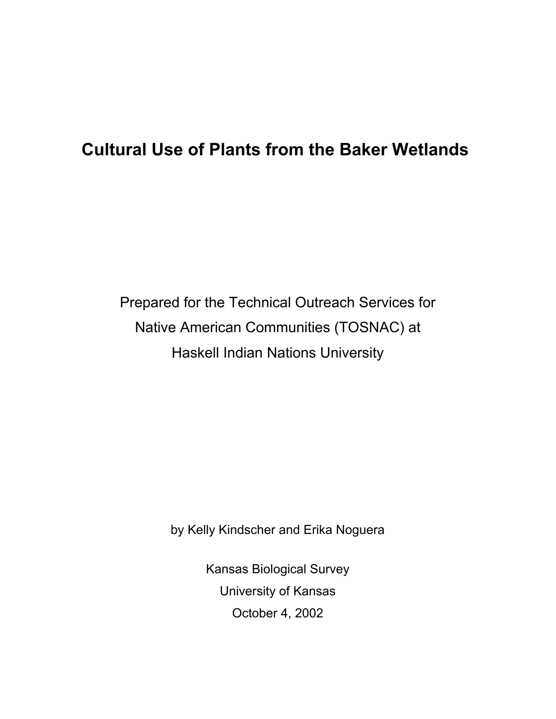# **Cultural Use of Plants from the Baker Wetlands**

Prepared for the Technical Outreach Services for Native American Communities (TOSNAC) at Haskell Indian Nations University

by Kelly Kindscher and Erika Noguera

Kansas Biological Survey University of Kansas October 4, 2002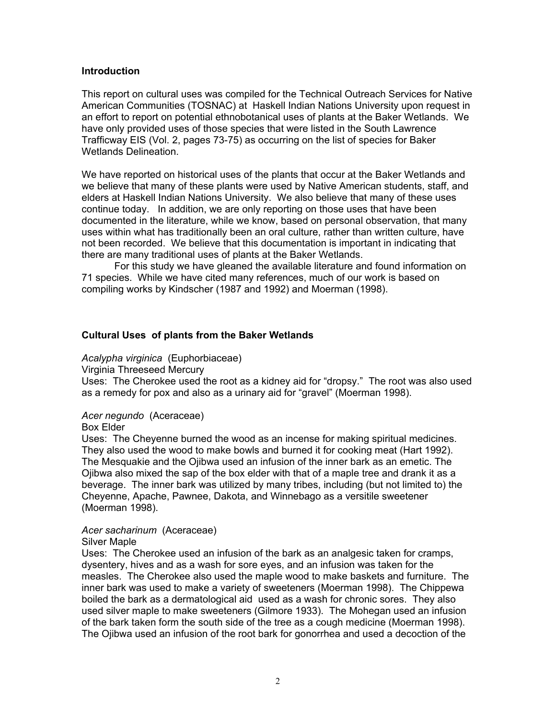#### **Introduction**

This report on cultural uses was compiled for the Technical Outreach Services for Native American Communities (TOSNAC) at Haskell Indian Nations University upon request in an effort to report on potential ethnobotanical uses of plants at the Baker Wetlands. We have only provided uses of those species that were listed in the South Lawrence Trafficway EIS (Vol. 2, pages 73-75) as occurring on the list of species for Baker Wetlands Delineation.

We have reported on historical uses of the plants that occur at the Baker Wetlands and we believe that many of these plants were used by Native American students, staff, and elders at Haskell Indian Nations University. We also believe that many of these uses continue today. In addition, we are only reporting on those uses that have been documented in the literature, while we know, based on personal observation, that many uses within what has traditionally been an oral culture, rather than written culture, have not been recorded. We believe that this documentation is important in indicating that there are many traditional uses of plants at the Baker Wetlands.

For this study we have gleaned the available literature and found information on 71 species. While we have cited many references, much of our work is based on compiling works by Kindscher (1987 and 1992) and Moerman (1998).

#### **Cultural Uses of plants from the Baker Wetlands**

#### *Acalypha virginica* (Euphorbiaceae)

Virginia Threeseed Mercury

Uses: The Cherokee used the root as a kidney aid for "dropsy." The root was also used as a remedy for pox and also as a urinary aid for "gravel" (Moerman 1998).

#### *Acer negundo* (Aceraceae)

Box Elder

Uses: The Cheyenne burned the wood as an incense for making spiritual medicines. They also used the wood to make bowls and burned it for cooking meat (Hart 1992). The Mesquakie and the Ojibwa used an infusion of the inner bark as an emetic. The Ojibwa also mixed the sap of the box elder with that of a maple tree and drank it as a beverage. The inner bark was utilized by many tribes, including (but not limited to) the Cheyenne, Apache, Pawnee, Dakota, and Winnebago as a versitile sweetener (Moerman 1998).

#### *Acer sacharinum* (Aceraceae)

Silver Maple

Uses: The Cherokee used an infusion of the bark as an analgesic taken for cramps, dysentery, hives and as a wash for sore eyes, and an infusion was taken for the measles. The Cherokee also used the maple wood to make baskets and furniture. The inner bark was used to make a variety of sweeteners (Moerman 1998). The Chippewa boiled the bark as a dermatological aid used as a wash for chronic sores. They also used silver maple to make sweeteners (Gilmore 1933). The Mohegan used an infusion of the bark taken form the south side of the tree as a cough medicine (Moerman 1998). The Ojibwa used an infusion of the root bark for gonorrhea and used a decoction of the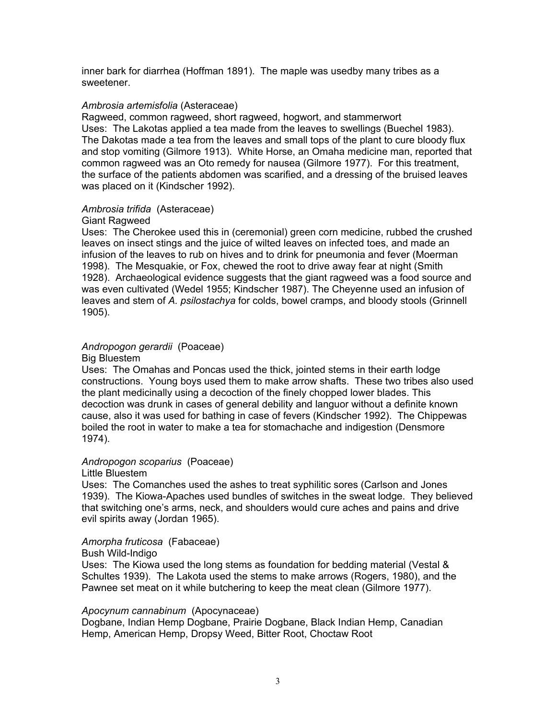inner bark for diarrhea (Hoffman 1891). The maple was usedby many tribes as a sweetener.

#### *Ambrosia artemisfolia* (Asteraceae)

Ragweed, common ragweed, short ragweed, hogwort, and stammerwort Uses: The Lakotas applied a tea made from the leaves to swellings (Buechel 1983). The Dakotas made a tea from the leaves and small tops of the plant to cure bloody flux and stop vomiting (Gilmore 1913). White Horse, an Omaha medicine man, reported that common ragweed was an Oto remedy for nausea (Gilmore 1977). For this treatment, the surface of the patients abdomen was scarified, and a dressing of the bruised leaves was placed on it (Kindscher 1992).

#### *Ambrosia trifida* (Asteraceae)

#### Giant Ragweed

Uses: The Cherokee used this in (ceremonial) green corn medicine, rubbed the crushed leaves on insect stings and the juice of wilted leaves on infected toes, and made an infusion of the leaves to rub on hives and to drink for pneumonia and fever (Moerman 1998). The Mesquakie, or Fox, chewed the root to drive away fear at night (Smith 1928). Archaeological evidence suggests that the giant ragweed was a food source and was even cultivated (Wedel 1955; Kindscher 1987). The Cheyenne used an infusion of leaves and stem of *A. psilostachya* for colds, bowel cramps, and bloody stools (Grinnell 1905).

# *Andropogon gerardii* (Poaceae)

Big Bluestem

Uses: The Omahas and Poncas used the thick, jointed stems in their earth lodge constructions. Young boys used them to make arrow shafts. These two tribes also used the plant medicinally using a decoction of the finely chopped lower blades. This decoction was drunk in cases of general debility and languor without a definite known cause, also it was used for bathing in case of fevers (Kindscher 1992). The Chippewas boiled the root in water to make a tea for stomachache and indigestion (Densmore 1974).

# *Andropogon scoparius* (Poaceae)

Little Bluestem

Uses: The Comanches used the ashes to treat syphilitic sores (Carlson and Jones 1939). The Kiowa-Apaches used bundles of switches in the sweat lodge. They believed that switching one's arms, neck, and shoulders would cure aches and pains and drive evil spirits away (Jordan 1965).

# *Amorpha fruticosa* (Fabaceae)

Bush Wild-Indigo

Uses: The Kiowa used the long stems as foundation for bedding material (Vestal & Schultes 1939). The Lakota used the stems to make arrows (Rogers, 1980), and the Pawnee set meat on it while butchering to keep the meat clean (Gilmore 1977).

#### *Apocynum cannabinum* (Apocynaceae)

Dogbane, Indian Hemp Dogbane, Prairie Dogbane, Black Indian Hemp, Canadian Hemp, American Hemp, Dropsy Weed, Bitter Root, Choctaw Root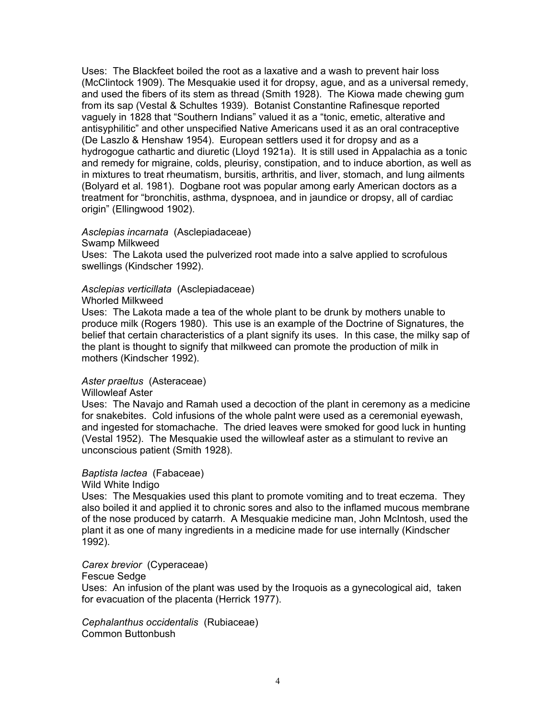Uses: The Blackfeet boiled the root as a laxative and a wash to prevent hair loss (McClintock 1909). The Mesquakie used it for dropsy, ague, and as a universal remedy, and used the fibers of its stem as thread (Smith 1928). The Kiowa made chewing gum from its sap (Vestal & Schultes 1939). Botanist Constantine Rafinesque reported vaguely in 1828 that "Southern Indians" valued it as a "tonic, emetic, alterative and antisyphilitic" and other unspecified Native Americans used it as an oral contraceptive (De Laszlo & Henshaw 1954). European settlers used it for dropsy and as a hydrogogue cathartic and diuretic (Lloyd 1921a). It is still used in Appalachia as a tonic and remedy for migraine, colds, pleurisy, constipation, and to induce abortion, as well as in mixtures to treat rheumatism, bursitis, arthritis, and liver, stomach, and lung ailments (Bolyard et al. 1981). Dogbane root was popular among early American doctors as a treatment for "bronchitis, asthma, dyspnoea, and in jaundice or dropsy, all of cardiac origin" (Ellingwood 1902).

#### *Asclepias incarnata* (Asclepiadaceae)

Swamp Milkweed

Uses: The Lakota used the pulverized root made into a salve applied to scrofulous swellings (Kindscher 1992).

#### *Asclepias verticillata* (Asclepiadaceae)

#### Whorled Milkweed

Uses: The Lakota made a tea of the whole plant to be drunk by mothers unable to produce milk (Rogers 1980). This use is an example of the Doctrine of Signatures, the belief that certain characteristics of a plant signify its uses. In this case, the milky sap of the plant is thought to signify that milkweed can promote the production of milk in mothers (Kindscher 1992).

#### *Aster praeltus* (Asteraceae)

#### Willowleaf Aster

Uses: The Navajo and Ramah used a decoction of the plant in ceremony as a medicine for snakebites. Cold infusions of the whole palnt were used as a ceremonial eyewash, and ingested for stomachache. The dried leaves were smoked for good luck in hunting (Vestal 1952). The Mesquakie used the willowleaf aster as a stimulant to revive an unconscious patient (Smith 1928).

#### *Baptista lactea* (Fabaceae)

#### Wild White Indigo

Uses: The Mesquakies used this plant to promote vomiting and to treat eczema. They also boiled it and applied it to chronic sores and also to the inflamed mucous membrane of the nose produced by catarrh. A Mesquakie medicine man, John McIntosh, used the plant it as one of many ingredients in a medicine made for use internally (Kindscher 1992).

#### *Carex brevior* (Cyperaceae)

#### Fescue Sedge

Uses: An infusion of the plant was used by the Iroquois as a gynecological aid, taken for evacuation of the placenta (Herrick 1977).

*Cephalanthus occidentalis* (Rubiaceae) Common Buttonbush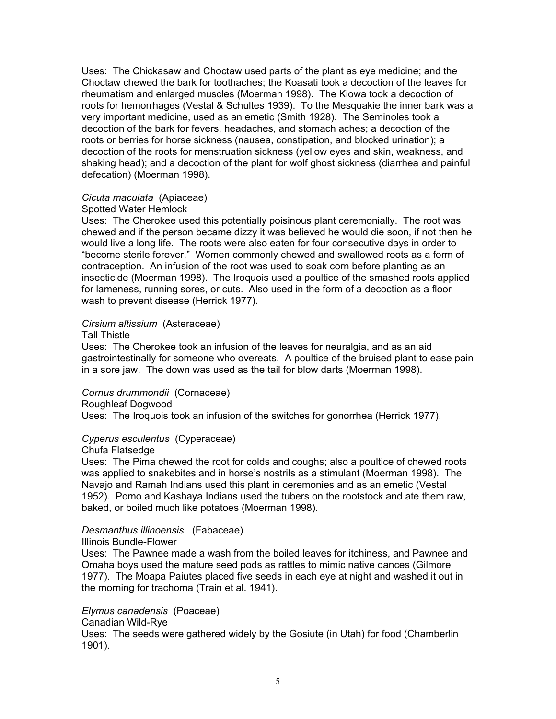Uses: The Chickasaw and Choctaw used parts of the plant as eye medicine; and the Choctaw chewed the bark for toothaches; the Koasati took a decoction of the leaves for rheumatism and enlarged muscles (Moerman 1998). The Kiowa took a decoction of roots for hemorrhages (Vestal & Schultes 1939). To the Mesquakie the inner bark was a very important medicine, used as an emetic (Smith 1928). The Seminoles took a decoction of the bark for fevers, headaches, and stomach aches; a decoction of the roots or berries for horse sickness (nausea, constipation, and blocked urination); a decoction of the roots for menstruation sickness (yellow eyes and skin, weakness, and shaking head); and a decoction of the plant for wolf ghost sickness (diarrhea and painful defecation) (Moerman 1998).

# *Cicuta maculata* (Apiaceae)

#### Spotted Water Hemlock

Uses: The Cherokee used this potentially poisinous plant ceremonially. The root was chewed and if the person became dizzy it was believed he would die soon, if not then he would live a long life. The roots were also eaten for four consecutive days in order to "become sterile forever." Women commonly chewed and swallowed roots as a form of contraception. An infusion of the root was used to soak corn before planting as an insecticide (Moerman 1998). The Iroquois used a poultice of the smashed roots applied for lameness, running sores, or cuts. Also used in the form of a decoction as a floor wash to prevent disease (Herrick 1977).

# *Cirsium altissium* (Asteraceae)

#### Tall Thistle

Uses: The Cherokee took an infusion of the leaves for neuralgia, and as an aid gastrointestinally for someone who overeats. A poultice of the bruised plant to ease pain in a sore jaw. The down was used as the tail for blow darts (Moerman 1998).

#### *Cornus drummondii* (Cornaceae)

#### Roughleaf Dogwood

Uses: The Iroquois took an infusion of the switches for gonorrhea (Herrick 1977).

# *Cyperus esculentus* (Cyperaceae)

#### Chufa Flatsedge

Uses: The Pima chewed the root for colds and coughs; also a poultice of chewed roots was applied to snakebites and in horse's nostrils as a stimulant (Moerman 1998). The Navajo and Ramah Indians used this plant in ceremonies and as an emetic (Vestal 1952). Pomo and Kashaya Indians used the tubers on the rootstock and ate them raw, baked, or boiled much like potatoes (Moerman 1998).

# *Desmanthus illinoensis* (Fabaceae)

#### Illinois Bundle-Flower

Uses: The Pawnee made a wash from the boiled leaves for itchiness, and Pawnee and Omaha boys used the mature seed pods as rattles to mimic native dances (Gilmore 1977). The Moapa Paiutes placed five seeds in each eye at night and washed it out in the morning for trachoma (Train et al. 1941).

# *Elymus canadensis* (Poaceae)

#### Canadian Wild-Rye

Uses: The seeds were gathered widely by the Gosiute (in Utah) for food (Chamberlin 1901).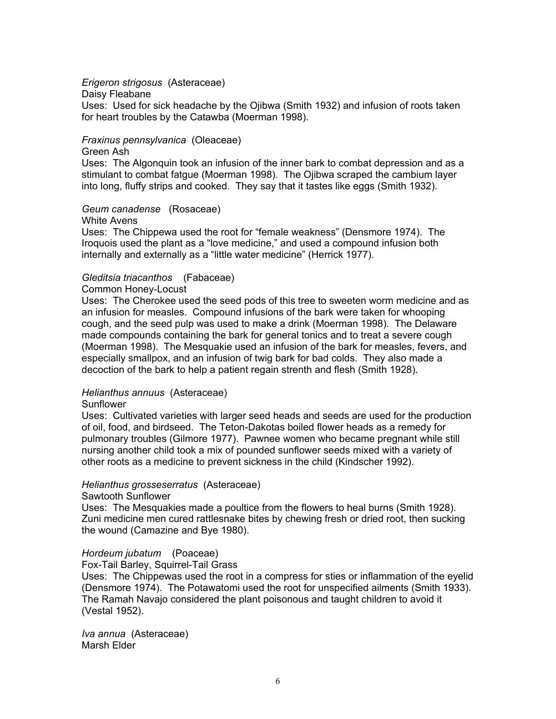#### *Erigeron strigosus* (Asteraceae)

Daisy Fleabane

Uses: Used for sick headache by the Ojibwa (Smith 1932) and infusion of roots taken for heart troubles by the Catawba (Moerman 1998).

# *Fraxinus pennsylvanica* (Oleaceae)

Green Ash

Uses: The Algonquin took an infusion of the inner bark to combat depression and as a stimulant to combat fatgue (Moerman 1998). The Ojibwa scraped the cambium layer into long, fluffy strips and cooked. They say that it tastes like eggs (Smith 1932).

#### *Geum canadense* (Rosaceae)

#### White Avens

Uses: The Chippewa used the root for "female weakness" (Densmore 1974). The Iroquois used the plant as a "love medicine," and used a compound infusion both internally and externally as a "little water medicine" (Herrick 1977).

#### *Gleditsia triacanthos* (Fabaceae)

#### Common Honey-Locust

Uses: The Cherokee used the seed pods of this tree to sweeten worm medicine and as an infusion for measles. Compound infusions of the bark were taken for whooping cough, and the seed pulp was used to make a drink (Moerman 1998). The Delaware made compounds containing the bark for general tonics and to treat a severe cough (Moerman 1998). The Mesquakie used an infusion of the bark for measles, fevers, and especially smallpox, and an infusion of twig bark for bad colds. They also made a decoction of the bark to help a patient regain strenth and flesh (Smith 1928).

#### *Helianthus annuus* (Asteraceae)

#### Sunflower

Uses: Cultivated varieties with larger seed heads and seeds are used for the production of oil, food, and birdseed. The Teton-Dakotas boiled flower heads as a remedy for pulmonary troubles (Gilmore 1977). Pawnee women who became pregnant while still nursing another child took a mix of pounded sunflower seeds mixed with a variety of other roots as a medicine to prevent sickness in the child (Kindscher 1992).

#### *Helianthus grosseserratus* (Asteraceae)

#### Sawtooth Sunflower

Uses: The Mesquakies made a poultice from the flowers to heal burns (Smith 1928). Zuni medicine men cured rattlesnake bites by chewing fresh or dried root, then sucking the wound (Camazine and Bye 1980).

#### *Hordeum jubatum* (Poaceae)

Fox-Tail Barley, Squirrel-Tail Grass

Uses: The Chippewas used the root in a compress for sties or inflammation of the eyelid (Densmore 1974). The Potawatomi used the root for unspecified ailments (Smith 1933). The Ramah Navajo considered the plant poisonous and taught children to avoid it (Vestal 1952).

*Iva annua* (Asteraceae) Marsh Elder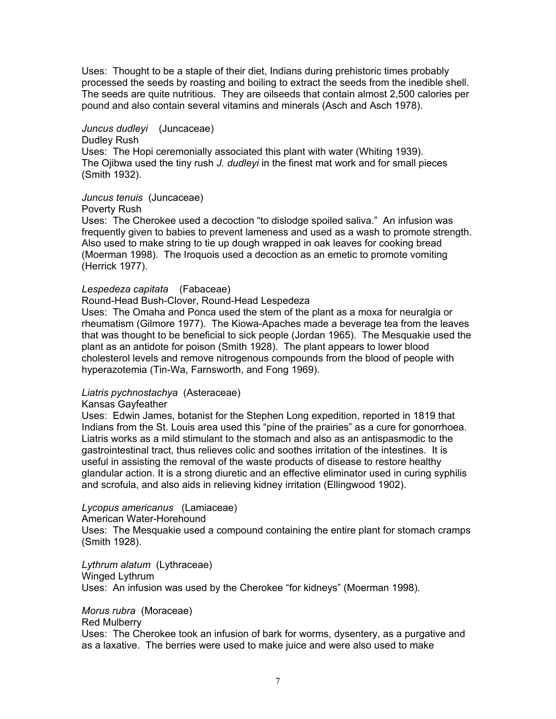Uses: Thought to be a staple of their diet, Indians during prehistoric times probably processed the seeds by roasting and boiling to extract the seeds from the inedible shell. The seeds are quite nutritious. They are oilseeds that contain almost 2,500 calories per pound and also contain several vitamins and minerals (Asch and Asch 1978).

# *Juncus dudleyi* (Juncaceae)

#### Dudley Rush

Uses: The Hopi ceremonially associated this plant with water (Whiting 1939). The Ojibwa used the tiny rush *J. dudleyi* in the finest mat work and for small pieces (Smith 1932).

# *Juncus tenuis* (Juncaceae)

#### Poverty Rush

Uses: The Cherokee used a decoction "to dislodge spoiled saliva." An infusion was frequently given to babies to prevent lameness and used as a wash to promote strength. Also used to make string to tie up dough wrapped in oak leaves for cooking bread (Moerman 1998). The Iroquois used a decoction as an emetic to promote vomiting (Herrick 1977).

#### *Lespedeza capitata* (Fabaceae)

#### Round-Head Bush-Clover, Round-Head Lespedeza

Uses: The Omaha and Ponca used the stem of the plant as a moxa for neuralgia or rheumatism (Gilmore 1977). The Kiowa-Apaches made a beverage tea from the leaves that was thought to be beneficial to sick people (Jordan 1965). The Mesquakie used the plant as an antidote for poison (Smith 1928). The plant appears to lower blood cholesterol levels and remove nitrogenous compounds from the blood of people with hyperazotemia (Tin-Wa, Farnsworth, and Fong 1969).

# *Liatris pychnostachya* (Asteraceae)

#### Kansas Gayfeather

Uses: Edwin James, botanist for the Stephen Long expedition, reported in 1819 that Indians from the St. Louis area used this "pine of the prairies" as a cure for gonorrhoea. Liatris works as a mild stimulant to the stomach and also as an antispasmodic to the gastrointestinal tract, thus relieves colic and soothes irritation of the intestines. It is useful in assisting the removal of the waste products of disease to restore healthy glandular action. It is a strong diuretic and an effective eliminator used in curing syphilis and scrofula, and also aids in relieving kidney irritation (Ellingwood 1902).

#### *Lycopus americanus* (Lamiaceae)

American Water-Horehound

Uses: The Mesquakie used a compound containing the entire plant for stomach cramps (Smith 1928).

#### *Lythrum alatum* (Lythraceae) Winged Lythrum Uses: An infusion was used by the Cherokee "for kidneys" (Moerman 1998).

# *Morus rubra* (Moraceae)

# Red Mulberry

Uses: The Cherokee took an infusion of bark for worms, dysentery, as a purgative and as a laxative. The berries were used to make juice and were also used to make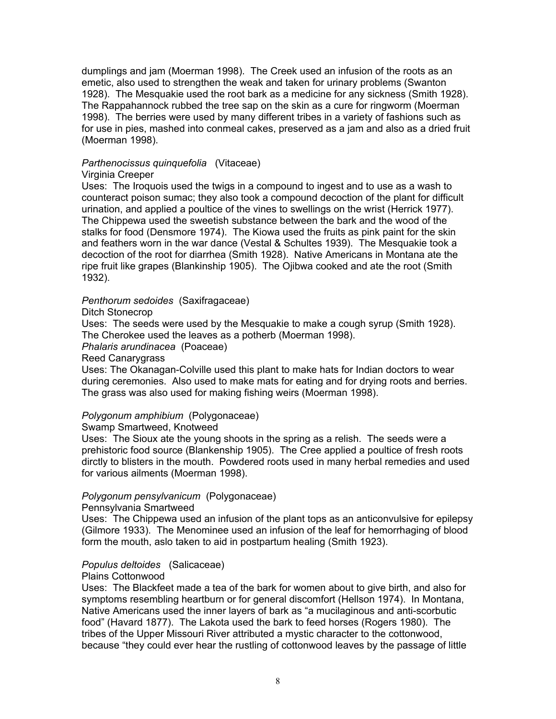dumplings and jam (Moerman 1998). The Creek used an infusion of the roots as an emetic, also used to strengthen the weak and taken for urinary problems (Swanton 1928). The Mesquakie used the root bark as a medicine for any sickness (Smith 1928). The Rappahannock rubbed the tree sap on the skin as a cure for ringworm (Moerman 1998). The berries were used by many different tribes in a variety of fashions such as for use in pies, mashed into conmeal cakes, preserved as a jam and also as a dried fruit (Moerman 1998).

#### *Parthenocissus quinquefolia* (Vitaceae)

# Virginia Creeper

Uses: The Iroquois used the twigs in a compound to ingest and to use as a wash to counteract poison sumac; they also took a compound decoction of the plant for difficult urination, and applied a poultice of the vines to swellings on the wrist (Herrick 1977). The Chippewa used the sweetish substance between the bark and the wood of the stalks for food (Densmore 1974). The Kiowa used the fruits as pink paint for the skin and feathers worn in the war dance (Vestal & Schultes 1939). The Mesquakie took a decoction of the root for diarrhea (Smith 1928). Native Americans in Montana ate the ripe fruit like grapes (Blankinship 1905). The Ojibwa cooked and ate the root (Smith 1932).

# *Penthorum sedoides* (Saxifragaceae)

Ditch Stonecrop

Uses: The seeds were used by the Mesquakie to make a cough syrup (Smith 1928). The Cherokee used the leaves as a potherb (Moerman 1998).

# *Phalaris arundinacea* (Poaceae)

Reed Canarygrass

Uses: The Okanagan-Colville used this plant to make hats for Indian doctors to wear during ceremonies. Also used to make mats for eating and for drying roots and berries. The grass was also used for making fishing weirs (Moerman 1998).

# *Polygonum amphibium* (Polygonaceae)

#### Swamp Smartweed, Knotweed

Uses: The Sioux ate the young shoots in the spring as a relish. The seeds were a prehistoric food source (Blankenship 1905). The Cree applied a poultice of fresh roots dirctly to blisters in the mouth. Powdered roots used in many herbal remedies and used for various ailments (Moerman 1998).

# *Polygonum pensylvanicum* (Polygonaceae)

Pennsylvania Smartweed

Uses: The Chippewa used an infusion of the plant tops as an anticonvulsive for epilepsy (Gilmore 1933). The Menominee used an infusion of the leaf for hemorrhaging of blood form the mouth, aslo taken to aid in postpartum healing (Smith 1923).

# *Populus deltoides* (Salicaceae)

#### Plains Cottonwood

Uses: The Blackfeet made a tea of the bark for women about to give birth, and also for symptoms resembling heartburn or for general discomfort (Hellson 1974). In Montana, Native Americans used the inner layers of bark as "a mucilaginous and anti-scorbutic food" (Havard 1877). The Lakota used the bark to feed horses (Rogers 1980). The tribes of the Upper Missouri River attributed a mystic character to the cottonwood, because "they could ever hear the rustling of cottonwood leaves by the passage of little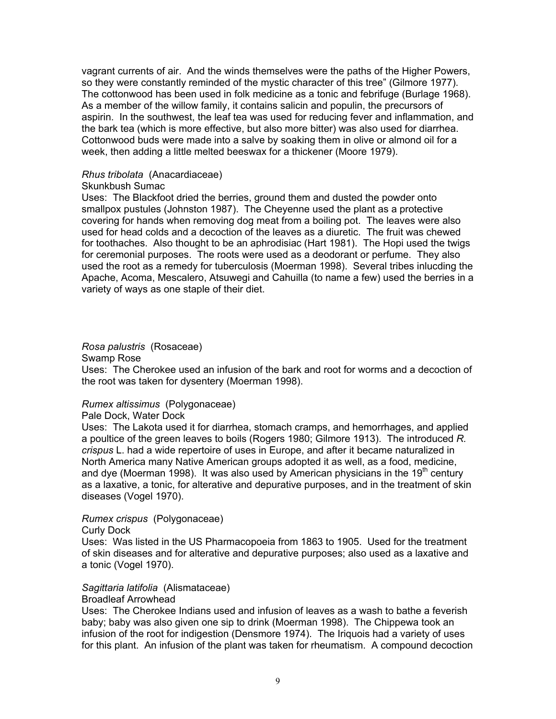vagrant currents of air. And the winds themselves were the paths of the Higher Powers, so they were constantly reminded of the mystic character of this tree" (Gilmore 1977). The cottonwood has been used in folk medicine as a tonic and febrifuge (Burlage 1968). As a member of the willow family, it contains salicin and populin, the precursors of aspirin. In the southwest, the leaf tea was used for reducing fever and inflammation, and the bark tea (which is more effective, but also more bitter) was also used for diarrhea. Cottonwood buds were made into a salve by soaking them in olive or almond oil for a week, then adding a little melted beeswax for a thickener (Moore 1979).

# *Rhus tribolata* (Anacardiaceae)

# Skunkbush Sumac

Uses: The Blackfoot dried the berries, ground them and dusted the powder onto smallpox pustules (Johnston 1987). The Cheyenne used the plant as a protective covering for hands when removing dog meat from a boiling pot. The leaves were also used for head colds and a decoction of the leaves as a diuretic. The fruit was chewed for toothaches. Also thought to be an aphrodisiac (Hart 1981). The Hopi used the twigs for ceremonial purposes. The roots were used as a deodorant or perfume. They also used the root as a remedy for tuberculosis (Moerman 1998). Several tribes inlucding the Apache, Acoma, Mescalero, Atsuwegi and Cahuilla (to name a few) used the berries in a variety of ways as one staple of their diet.

# *Rosa palustris* (Rosaceae)

Swamp Rose

Uses: The Cherokee used an infusion of the bark and root for worms and a decoction of the root was taken for dysentery (Moerman 1998).

# *Rumex altissimus* (Polygonaceae)

#### Pale Dock, Water Dock

Uses: The Lakota used it for diarrhea, stomach cramps, and hemorrhages, and applied a poultice of the green leaves to boils (Rogers 1980; Gilmore 1913). The introduced *R. crispus* L. had a wide repertoire of uses in Europe, and after it became naturalized in North America many Native American groups adopted it as well, as a food, medicine, and dye (Moerman 1998). It was also used by American physicians in the 19<sup>th</sup> century as a laxative, a tonic, for alterative and depurative purposes, and in the treatment of skin diseases (Vogel 1970).

# *Rumex crispus* (Polygonaceae)

#### Curly Dock

Uses: Was listed in the US Pharmacopoeia from 1863 to 1905. Used for the treatment of skin diseases and for alterative and depurative purposes; also used as a laxative and a tonic (Vogel 1970).

# *Sagittaria latifolia* (Alismataceae)

#### Broadleaf Arrowhead

Uses: The Cherokee Indians used and infusion of leaves as a wash to bathe a feverish baby; baby was also given one sip to drink (Moerman 1998). The Chippewa took an infusion of the root for indigestion (Densmore 1974). The Iriquois had a variety of uses for this plant. An infusion of the plant was taken for rheumatism. A compound decoction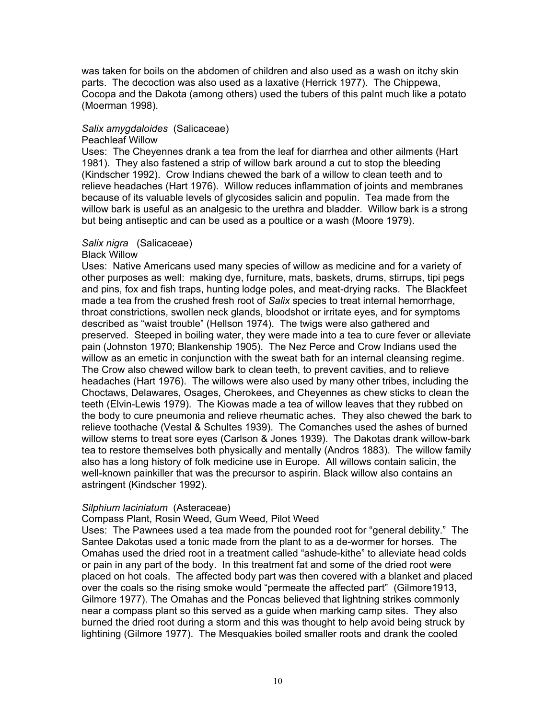was taken for boils on the abdomen of children and also used as a wash on itchy skin parts. The decoction was also used as a laxative (Herrick 1977). The Chippewa, Cocopa and the Dakota (among others) used the tubers of this palnt much like a potato (Moerman 1998).

# *Salix amygdaloides* (Salicaceae)

#### Peachleaf Willow

Uses: The Cheyennes drank a tea from the leaf for diarrhea and other ailments (Hart 1981). They also fastened a strip of willow bark around a cut to stop the bleeding (Kindscher 1992). Crow Indians chewed the bark of a willow to clean teeth and to relieve headaches (Hart 1976). Willow reduces inflammation of joints and membranes because of its valuable levels of glycosides salicin and populin. Tea made from the willow bark is useful as an analgesic to the urethra and bladder. Willow bark is a strong but being antiseptic and can be used as a poultice or a wash (Moore 1979).

# *Salix nigra* (Salicaceae)

#### Black Willow

Uses: Native Americans used many species of willow as medicine and for a variety of other purposes as well: making dye, furniture, mats, baskets, drums, stirrups, tipi pegs and pins, fox and fish traps, hunting lodge poles, and meat-drying racks. The Blackfeet made a tea from the crushed fresh root of *Salix* species to treat internal hemorrhage, throat constrictions, swollen neck glands, bloodshot or irritate eyes, and for symptoms described as "waist trouble" (Hellson 1974). The twigs were also gathered and preserved. Steeped in boiling water, they were made into a tea to cure fever or alleviate pain (Johnston 1970; Blankenship 1905). The Nez Perce and Crow Indians used the willow as an emetic in conjunction with the sweat bath for an internal cleansing regime. The Crow also chewed willow bark to clean teeth, to prevent cavities, and to relieve headaches (Hart 1976). The willows were also used by many other tribes, including the Choctaws, Delawares, Osages, Cherokees, and Cheyennes as chew sticks to clean the teeth (Elvin-Lewis 1979). The Kiowas made a tea of willow leaves that they rubbed on the body to cure pneumonia and relieve rheumatic aches. They also chewed the bark to relieve toothache (Vestal & Schultes 1939). The Comanches used the ashes of burned willow stems to treat sore eyes (Carlson & Jones 1939). The Dakotas drank willow-bark tea to restore themselves both physically and mentally (Andros 1883). The willow family also has a long history of folk medicine use in Europe. All willows contain salicin, the well-known painkiller that was the precursor to aspirin. Black willow also contains an astringent (Kindscher 1992).

#### *Silphium laciniatum* (Asteraceae)

#### Compass Plant, Rosin Weed, Gum Weed, Pilot Weed

Uses: The Pawnees used a tea made from the pounded root for "general debility." The Santee Dakotas used a tonic made from the plant to as a de-wormer for horses. The Omahas used the dried root in a treatment called "ashude-kithe" to alleviate head colds or pain in any part of the body. In this treatment fat and some of the dried root were placed on hot coals. The affected body part was then covered with a blanket and placed over the coals so the rising smoke would "permeate the affected part" (Gilmore1913, Gilmore 1977). The Omahas and the Poncas believed that lightning strikes commonly near a compass plant so this served as a guide when marking camp sites. They also burned the dried root during a storm and this was thought to help avoid being struck by lightining (Gilmore 1977). The Mesquakies boiled smaller roots and drank the cooled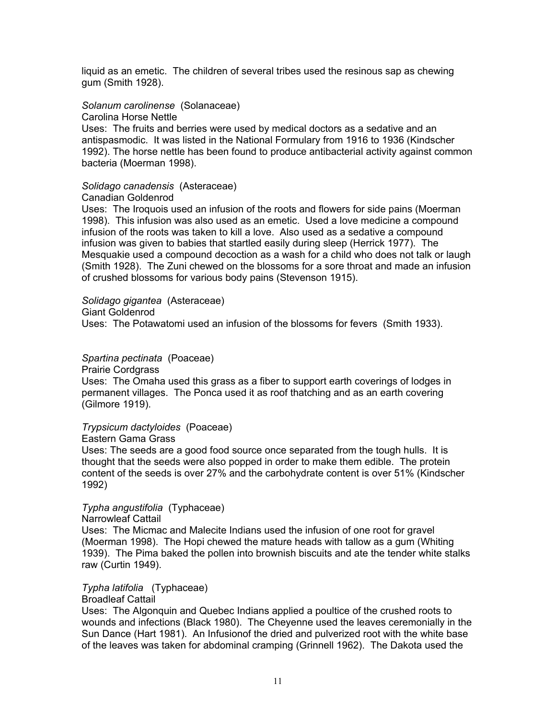liquid as an emetic. The children of several tribes used the resinous sap as chewing gum (Smith 1928).

*Solanum carolinense* (Solanaceae)

Carolina Horse Nettle

Uses: The fruits and berries were used by medical doctors as a sedative and an antispasmodic. It was listed in the National Formulary from 1916 to 1936 (Kindscher 1992). The horse nettle has been found to produce antibacterial activity against common bacteria (Moerman 1998).

# *Solidago canadensis* (Asteraceae)

# Canadian Goldenrod

Uses: The Iroquois used an infusion of the roots and flowers for side pains (Moerman 1998). This infusion was also used as an emetic. Used a love medicine a compound infusion of the roots was taken to kill a love. Also used as a sedative a compound infusion was given to babies that startled easily during sleep (Herrick 1977). The Mesquakie used a compound decoction as a wash for a child who does not talk or laugh (Smith 1928). The Zuni chewed on the blossoms for a sore throat and made an infusion of crushed blossoms for various body pains (Stevenson 1915).

*Solidago gigantea* (Asteraceae) Giant Goldenrod Uses: The Potawatomi used an infusion of the blossoms for fevers (Smith 1933).

*Spartina pectinata* (Poaceae)

Prairie Cordgrass

Uses: The Omaha used this grass as a fiber to support earth coverings of lodges in permanent villages. The Ponca used it as roof thatching and as an earth covering (Gilmore 1919).

*Trypsicum dactyloides* (Poaceae)

Eastern Gama Grass

Uses: The seeds are a good food source once separated from the tough hulls. It is thought that the seeds were also popped in order to make them edible. The protein content of the seeds is over 27% and the carbohydrate content is over 51% (Kindscher 1992)

*Typha angustifolia* (Typhaceae)

Narrowleaf Cattail

Uses: The Micmac and Malecite Indians used the infusion of one root for gravel (Moerman 1998). The Hopi chewed the mature heads with tallow as a gum (Whiting 1939). The Pima baked the pollen into brownish biscuits and ate the tender white stalks raw (Curtin 1949).

# *Typha latifolia* (Typhaceae)

Broadleaf Cattail

Uses: The Algonquin and Quebec Indians applied a poultice of the crushed roots to wounds and infections (Black 1980). The Cheyenne used the leaves ceremonially in the Sun Dance (Hart 1981). An Infusionof the dried and pulverized root with the white base of the leaves was taken for abdominal cramping (Grinnell 1962). The Dakota used the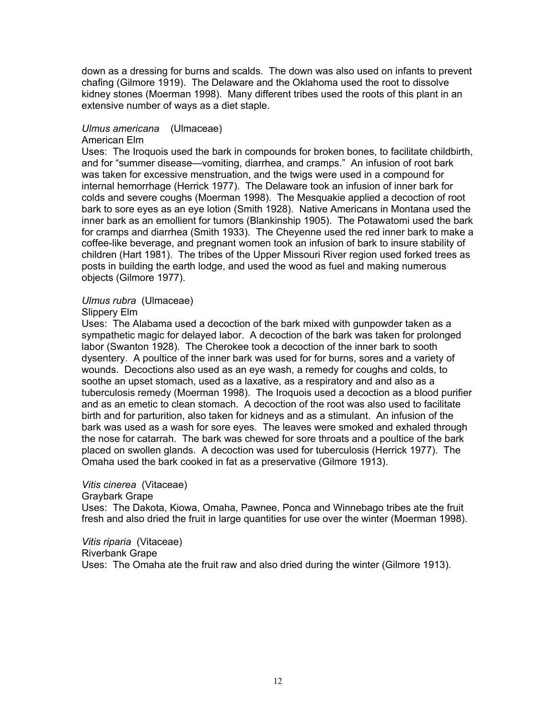down as a dressing for burns and scalds. The down was also used on infants to prevent chafing (Gilmore 1919). The Delaware and the Oklahoma used the root to dissolve kidney stones (Moerman 1998). Many different tribes used the roots of this plant in an extensive number of ways as a diet staple.

# *Ulmus americana* (Ulmaceae)

# American Elm

Uses: The Iroquois used the bark in compounds for broken bones, to facilitate childbirth, and for "summer disease—vomiting, diarrhea, and cramps." An infusion of root bark was taken for excessive menstruation, and the twigs were used in a compound for internal hemorrhage (Herrick 1977). The Delaware took an infusion of inner bark for colds and severe coughs (Moerman 1998). The Mesquakie applied a decoction of root bark to sore eyes as an eye lotion (Smith 1928). Native Americans in Montana used the inner bark as an emollient for tumors (Blankinship 1905). The Potawatomi used the bark for cramps and diarrhea (Smith 1933). The Cheyenne used the red inner bark to make a coffee-like beverage, and pregnant women took an infusion of bark to insure stability of children (Hart 1981). The tribes of the Upper Missouri River region used forked trees as posts in building the earth lodge, and used the wood as fuel and making numerous objects (Gilmore 1977).

# *Ulmus rubra* (Ulmaceae)

# Slippery Elm

Uses: The Alabama used a decoction of the bark mixed with gunpowder taken as a sympathetic magic for delayed labor. A decoction of the bark was taken for prolonged labor (Swanton 1928). The Cherokee took a decoction of the inner bark to sooth dysentery. A poultice of the inner bark was used for for burns, sores and a variety of wounds. Decoctions also used as an eye wash, a remedy for coughs and colds, to soothe an upset stomach, used as a laxative, as a respiratory and and also as a tuberculosis remedy (Moerman 1998). The Iroquois used a decoction as a blood purifier and as an emetic to clean stomach. A decoction of the root was also used to facilitate birth and for parturition, also taken for kidneys and as a stimulant. An infusion of the bark was used as a wash for sore eyes. The leaves were smoked and exhaled through the nose for catarrah. The bark was chewed for sore throats and a poultice of the bark placed on swollen glands. A decoction was used for tuberculosis (Herrick 1977). The Omaha used the bark cooked in fat as a preservative (Gilmore 1913).

# *Vitis cinerea* (Vitaceae)

#### Graybark Grape

Uses: The Dakota, Kiowa, Omaha, Pawnee, Ponca and Winnebago tribes ate the fruit fresh and also dried the fruit in large quantities for use over the winter (Moerman 1998).

*Vitis riparia* (Vitaceae) Riverbank Grape Uses: The Omaha ate the fruit raw and also dried during the winter (Gilmore 1913).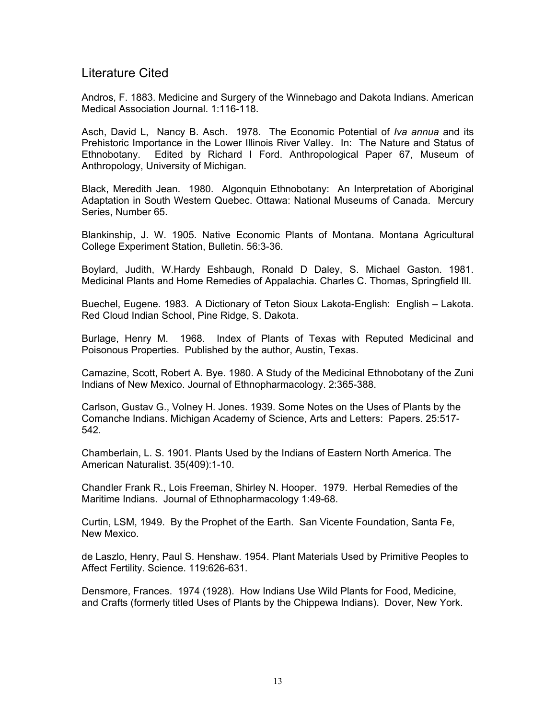# Literature Cited

Andros, F. 1883. Medicine and Surgery of the Winnebago and Dakota Indians. American Medical Association Journal. 1:116-118.

Asch, David L, Nancy B. Asch. 1978. The Economic Potential of *Iva annua* and its Prehistoric Importance in the Lower Illinois River Valley. In: The Nature and Status of Ethnobotany. Edited by Richard I Ford. Anthropological Paper 67, Museum of Anthropology, University of Michigan.

Black, Meredith Jean. 1980. Algonquin Ethnobotany: An Interpretation of Aboriginal Adaptation in South Western Quebec. Ottawa: National Museums of Canada. Mercury Series, Number 65.

Blankinship, J. W. 1905. Native Economic Plants of Montana. Montana Agricultural College Experiment Station, Bulletin. 56:3-36.

Boylard, Judith, W.Hardy Eshbaugh, Ronald D Daley, S. Michael Gaston. 1981. Medicinal Plants and Home Remedies of Appalachia*.* Charles C. Thomas, Springfield Ill.

Buechel, Eugene. 1983. A Dictionary of Teton Sioux Lakota-English: English – Lakota. Red Cloud Indian School, Pine Ridge, S. Dakota.

Burlage, Henry M. 1968. Index of Plants of Texas with Reputed Medicinal and Poisonous Properties. Published by the author, Austin, Texas.

Camazine, Scott, Robert A. Bye. 1980. A Study of the Medicinal Ethnobotany of the Zuni Indians of New Mexico. Journal of Ethnopharmacology. 2:365-388.

Carlson, Gustav G., Volney H. Jones. 1939. Some Notes on the Uses of Plants by the Comanche Indians. Michigan Academy of Science, Arts and Letters: Papers. 25:517- 542.

Chamberlain, L. S. 1901. Plants Used by the Indians of Eastern North America. The American Naturalist. 35(409):1-10.

Chandler Frank R., Lois Freeman, Shirley N. Hooper. 1979. Herbal Remedies of the Maritime Indians. Journal of Ethnopharmacology 1:49-68.

Curtin, LSM, 1949. By the Prophet of the Earth. San Vicente Foundation, Santa Fe, New Mexico.

de Laszlo, Henry, Paul S. Henshaw. 1954. Plant Materials Used by Primitive Peoples to Affect Fertility. Science. 119:626-631.

Densmore, Frances. 1974 (1928). How Indians Use Wild Plants for Food, Medicine, and Crafts (formerly titled Uses of Plants by the Chippewa Indians). Dover, New York.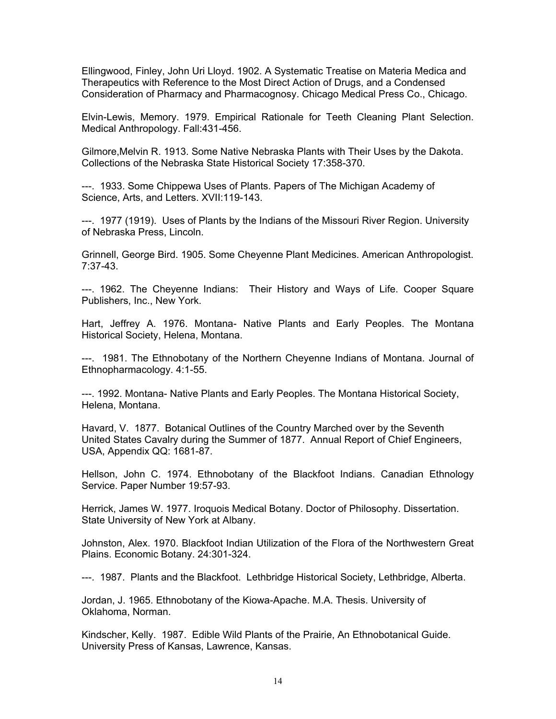Ellingwood, Finley, John Uri Lloyd. 1902. A Systematic Treatise on Materia Medica and Therapeutics with Reference to the Most Direct Action of Drugs, and a Condensed Consideration of Pharmacy and Pharmacognosy. Chicago Medical Press Co., Chicago.

Elvin-Lewis, Memory. 1979. Empirical Rationale for Teeth Cleaning Plant Selection. Medical Anthropology. Fall:431-456.

Gilmore,Melvin R. 1913. Some Native Nebraska Plants with Their Uses by the Dakota. Collections of the Nebraska State Historical Society 17:358-370.

---. 1933. Some Chippewa Uses of Plants. Papers of The Michigan Academy of Science, Arts, and Letters. XVII:119-143.

---. 1977 (1919). Uses of Plants by the Indians of the Missouri River Region. University of Nebraska Press, Lincoln.

Grinnell, George Bird. 1905. Some Cheyenne Plant Medicines. American Anthropologist. 7:37-43.

---. 1962. The Cheyenne Indians: Their History and Ways of Life. Cooper Square Publishers, Inc., New York.

Hart, Jeffrey A. 1976. Montana- Native Plants and Early Peoples. The Montana Historical Society, Helena, Montana.

---. 1981. The Ethnobotany of the Northern Cheyenne Indians of Montana. Journal of Ethnopharmacology. 4:1-55.

---. 1992. Montana- Native Plants and Early Peoples. The Montana Historical Society, Helena, Montana.

Havard, V. 1877. Botanical Outlines of the Country Marched over by the Seventh United States Cavalry during the Summer of 1877. Annual Report of Chief Engineers, USA, Appendix QQ: 1681-87.

Hellson, John C. 1974. Ethnobotany of the Blackfoot Indians. Canadian Ethnology Service. Paper Number 19:57-93.

Herrick, James W. 1977. Iroquois Medical Botany. Doctor of Philosophy. Dissertation. State University of New York at Albany.

Johnston, Alex. 1970. Blackfoot Indian Utilization of the Flora of the Northwestern Great Plains. Economic Botany. 24:301-324.

---. 1987. Plants and the Blackfoot. Lethbridge Historical Society, Lethbridge, Alberta.

Jordan, J. 1965. Ethnobotany of the Kiowa-Apache. M.A. Thesis. University of Oklahoma, Norman.

Kindscher, Kelly. 1987. Edible Wild Plants of the Prairie, An Ethnobotanical Guide. University Press of Kansas, Lawrence, Kansas.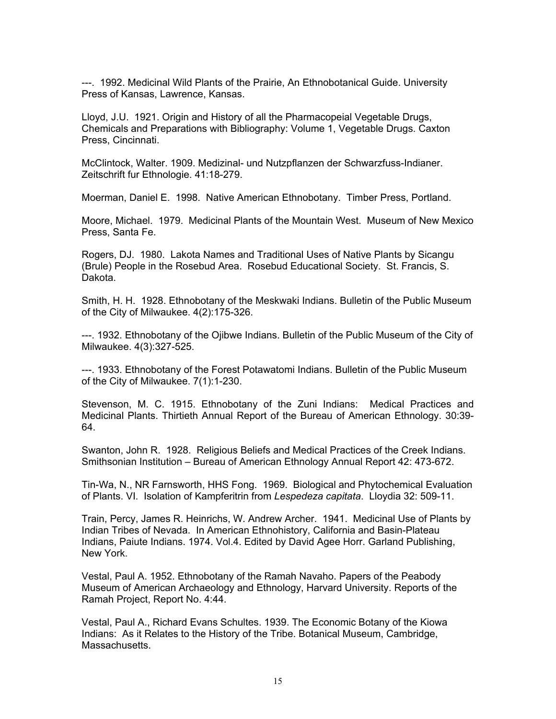---. 1992. Medicinal Wild Plants of the Prairie, An Ethnobotanical Guide. University Press of Kansas, Lawrence, Kansas.

Lloyd, J.U. 1921. Origin and History of all the Pharmacopeial Vegetable Drugs, Chemicals and Preparations with Bibliography: Volume 1, Vegetable Drugs. Caxton Press, Cincinnati.

McClintock, Walter. 1909. Medizinal- und Nutzpflanzen der Schwarzfuss-Indianer. Zeitschrift fur Ethnologie. 41:18-279.

Moerman, Daniel E. 1998. Native American Ethnobotany. Timber Press, Portland.

Moore, Michael. 1979. Medicinal Plants of the Mountain West. Museum of New Mexico Press, Santa Fe.

Rogers, DJ. 1980. Lakota Names and Traditional Uses of Native Plants by Sicangu (Brule) People in the Rosebud Area. Rosebud Educational Society. St. Francis, S. Dakota.

Smith, H. H. 1928. Ethnobotany of the Meskwaki Indians. Bulletin of the Public Museum of the City of Milwaukee. 4(2):175-326.

---. 1932. Ethnobotany of the Ojibwe Indians. Bulletin of the Public Museum of the City of Milwaukee. 4(3):327-525.

---. 1933. Ethnobotany of the Forest Potawatomi Indians. Bulletin of the Public Museum of the City of Milwaukee. 7(1):1-230.

Stevenson, M. C. 1915. Ethnobotany of the Zuni Indians: Medical Practices and Medicinal Plants. Thirtieth Annual Report of the Bureau of American Ethnology. 30:39- 64.

Swanton, John R. 1928. Religious Beliefs and Medical Practices of the Creek Indians. Smithsonian Institution – Bureau of American Ethnology Annual Report 42: 473-672.

Tin-Wa, N., NR Farnsworth, HHS Fong. 1969. Biological and Phytochemical Evaluation of Plants. VI. Isolation of Kampferitrin from *Lespedeza capitata*. Lloydia 32: 509-11.

Train, Percy, James R. Heinrichs, W. Andrew Archer. 1941. Medicinal Use of Plants by Indian Tribes of Nevada. In American Ethnohistory, California and Basin-Plateau Indians, Paiute Indians. 1974. Vol.4. Edited by David Agee Horr. Garland Publishing, New York.

Vestal, Paul A. 1952. Ethnobotany of the Ramah Navaho. Papers of the Peabody Museum of American Archaeology and Ethnology, Harvard University. Reports of the Ramah Project, Report No. 4:44.

Vestal, Paul A., Richard Evans Schultes. 1939. The Economic Botany of the Kiowa Indians: As it Relates to the History of the Tribe. Botanical Museum, Cambridge, Massachusetts.